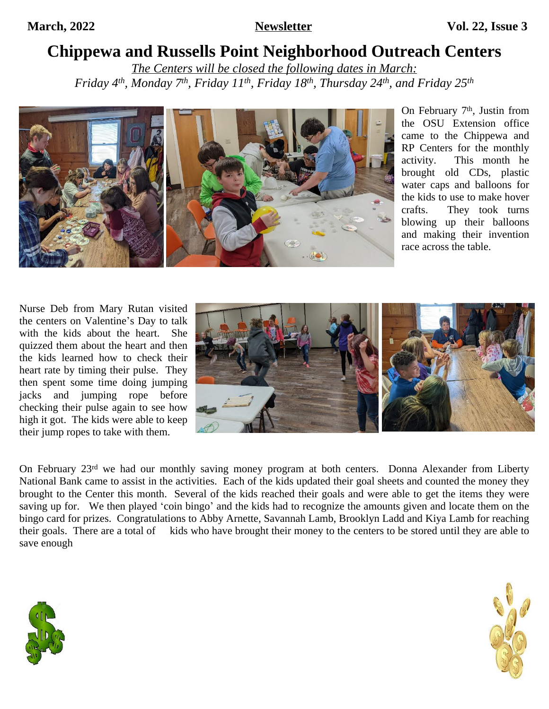# **Chippewa and Russells Point Neighborhood Outreach Centers**

*The Centers will be closed the following dates in March: Friday 4th, Monday 7th, Friday 11th, Friday 18th, Thursday 24th, and Friday 25th*



On February 7<sup>th</sup>, Justin from the OSU Extension office came to the Chippewa and RP Centers for the monthly activity. This month he brought old CDs, plastic water caps and balloons for the kids to use to make hover crafts. They took turns blowing up their balloons and making their invention race across the table.

Nurse Deb from Mary Rutan visited the centers on Valentine's Day to talk with the kids about the heart. She quizzed them about the heart and then the kids learned how to check their heart rate by timing their pulse. They then spent some time doing jumping jacks and jumping rope before checking their pulse again to see how high it got. The kids were able to keep their jump ropes to take with them.



On February 23rd we had our monthly saving money program at both centers. Donna Alexander from Liberty National Bank came to assist in the activities. Each of the kids updated their goal sheets and counted the money they brought to the Center this month. Several of the kids reached their goals and were able to get the items they were saving up for. We then played 'coin bingo' and the kids had to recognize the amounts given and locate them on the bingo card for prizes. Congratulations to Abby Arnette, Savannah Lamb, Brooklyn Ladd and Kiya Lamb for reaching their goals. There are a total of kids who have brought their money to the centers to be stored until they are able to save enough



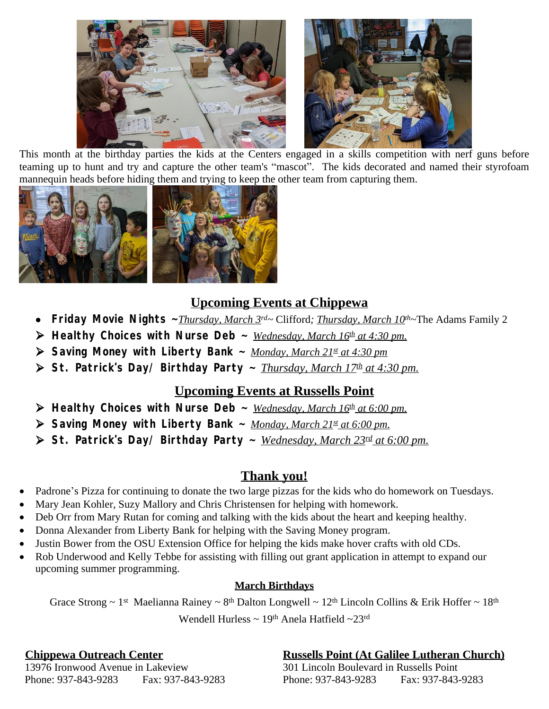

This month at the birthday parties the kids at the Centers engaged in a skills competition with nerf guns before teaming up to hunt and try and capture the other team's "mascot". The kids decorated and named their styrofoam mannequin heads before hiding them and trying to keep the other team from capturing them.



### **Upcoming Events at Chippewa**

- **Friday Movie Nights ~***Thursday, March 3rd~* Clifford*; Thursday, March 10th~*The Adams Family 2
- **Healthy Choices with Nurse Deb ~** *Wednesday, March 16th at 4:30 pm.*
- **Saving Money with Liberty Bank ~** *Monday, March 21st at 4:30 pm*
- **St. Patrick's Day/ Birthday Party ~** *Thursday, March 17th at 4:30 pm.*

#### **Upcoming Events at Russells Point**

- $\triangleright$  **Healthy Choices with Nurse Deb**  $\sim$  *<u>Wednesday, March 16<sup>th</sup> at 6:00 pm.</u>*
- **Saving Money with Liberty Bank ~** *Monday, March 21st at 6:00 pm.*
- **St. Patrick's Day/ Birthday Party ~** *Wednesday, March 23rd at 6:00 pm.*

### **Thank you!**

- Padrone's Pizza for continuing to donate the two large pizzas for the kids who do homework on Tuesdays.
- Mary Jean Kohler, Suzy Mallory and Chris Christensen for helping with homework.
- Deb Orr from Mary Rutan for coming and talking with the kids about the heart and keeping healthy.
- Donna Alexander from Liberty Bank for helping with the Saving Money program.
- Justin Bower from the OSU Extension Office for helping the kids make hover crafts with old CDs.
- Rob Underwood and Kelly Tebbe for assisting with filling out grant application in attempt to expand our upcoming summer programming.

#### **March Birthdays**

Grace Strong ~ 1<sup>st</sup> Maelianna Rainey ~ 8<sup>th</sup> Dalton Longwell ~ 12<sup>th</sup> Lincoln Collins & Erik Hoffer ~ 18<sup>th</sup>

Wendell Hurless ~ 19<sup>th</sup> Anela Hatfield ~23<sup>rd</sup>

### **Chippewa Outreach Center** *Russells Point (At Galilee Lutheran Church)*

 13976 Ironwood Avenue in Lakeview 301 Lincoln Boulevard in Russells Point Phone: 937-843-9283 Fax: 937-843-9283 Phone: 937-843-9283 Fax: 937-843-9283